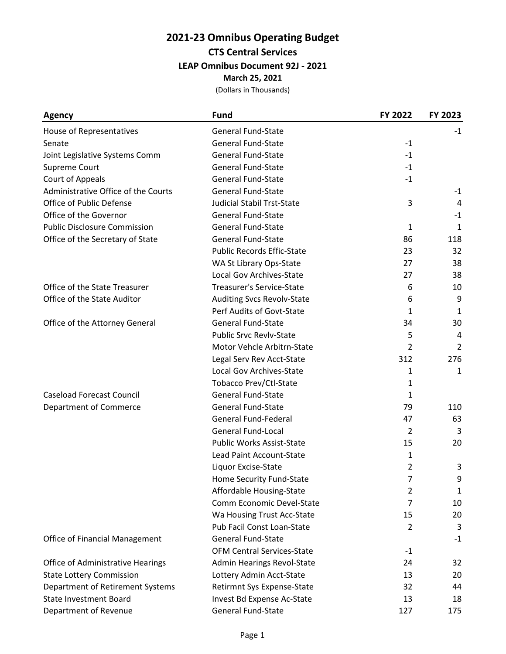## **2021-23 Omnibus Operating Budget CTS Central Services LEAP Omnibus Document 92J - 2021**

**March 25, 2021**

| Agency                                   | <b>Fund</b>                       | FY 2022        | FY 2023      |
|------------------------------------------|-----------------------------------|----------------|--------------|
| House of Representatives                 | <b>General Fund-State</b>         |                | $-1$         |
| Senate                                   | <b>General Fund-State</b>         | $-1$           |              |
| Joint Legislative Systems Comm           | <b>General Fund-State</b>         | $-1$           |              |
| Supreme Court                            | <b>General Fund-State</b>         | $-1$           |              |
| Court of Appeals                         | <b>General Fund-State</b>         | $-1$           |              |
| Administrative Office of the Courts      | <b>General Fund-State</b>         |                | $-1$         |
| Office of Public Defense                 | <b>Judicial Stabil Trst-State</b> | 3              | 4            |
| Office of the Governor                   | <b>General Fund-State</b>         |                | $-1$         |
| <b>Public Disclosure Commission</b>      | <b>General Fund-State</b>         | $\mathbf{1}$   | $\mathbf{1}$ |
| Office of the Secretary of State         | <b>General Fund-State</b>         | 86             | 118          |
|                                          | <b>Public Records Effic-State</b> | 23             | 32           |
|                                          | WA St Library Ops-State           | 27             | 38           |
|                                          | Local Gov Archives-State          | 27             | 38           |
| Office of the State Treasurer            | <b>Treasurer's Service-State</b>  | 6              | 10           |
| Office of the State Auditor              | <b>Auditing Svcs Revolv-State</b> | 6              | 9            |
|                                          | Perf Audits of Govt-State         | 1              | 1            |
| Office of the Attorney General           | <b>General Fund-State</b>         | 34             | 30           |
|                                          | <b>Public Srvc Revly-State</b>    | 5              | 4            |
|                                          | Motor Vehcle Arbitrn-State        | $\overline{2}$ | 2            |
|                                          | Legal Serv Rev Acct-State         | 312            | 276          |
|                                          | Local Gov Archives-State          | 1              | 1            |
|                                          | Tobacco Prev/Ctl-State            | 1              |              |
| <b>Caseload Forecast Council</b>         | <b>General Fund-State</b>         | 1              |              |
| Department of Commerce                   | <b>General Fund-State</b>         | 79             | 110          |
|                                          | <b>General Fund-Federal</b>       | 47             | 63           |
|                                          | <b>General Fund-Local</b>         | $\overline{2}$ | 3            |
|                                          | Public Works Assist-State         | 15             | 20           |
|                                          | Lead Paint Account-State          | 1              |              |
|                                          | Liquor Excise-State               | $\overline{2}$ | 3            |
|                                          | Home Security Fund-State          | $\overline{7}$ | 9            |
|                                          | Affordable Housing-State          | 2              | 1            |
|                                          | Comm Economic Devel-State         | 7              | 10           |
|                                          | Wa Housing Trust Acc-State        | 15             | 20           |
|                                          | Pub Facil Const Loan-State        | 2              | 3            |
| <b>Office of Financial Management</b>    | <b>General Fund-State</b>         |                | $-1$         |
|                                          | <b>OFM Central Services-State</b> | $-1$           |              |
| <b>Office of Administrative Hearings</b> | Admin Hearings Revol-State        | 24             | 32           |
| <b>State Lottery Commission</b>          | Lottery Admin Acct-State          | 13             | 20           |
| Department of Retirement Systems         | Retirmnt Sys Expense-State        | 32             | 44           |
| <b>State Investment Board</b>            | Invest Bd Expense Ac-State        | 13             | 18           |
| Department of Revenue                    | <b>General Fund-State</b>         | 127            | 175          |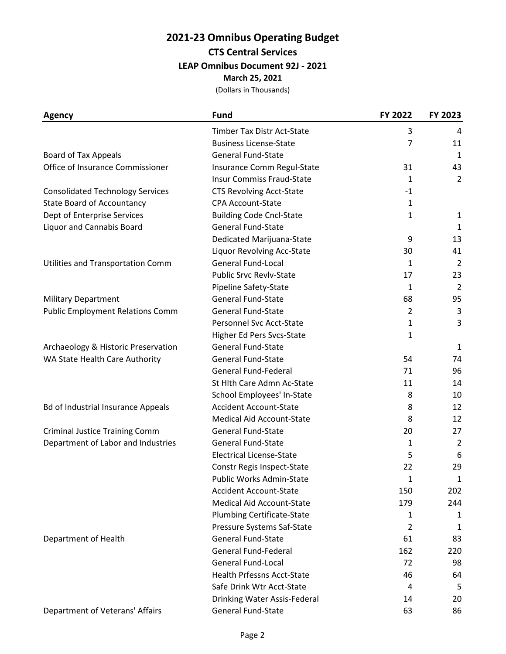## **2021-23 Omnibus Operating Budget CTS Central Services**

**LEAP Omnibus Document 92J - 2021**

**March 25, 2021**

| Agency                                    | <b>Fund</b>                       | FY 2022        | FY 2023        |
|-------------------------------------------|-----------------------------------|----------------|----------------|
|                                           | Timber Tax Distr Act-State        | 3              | 4              |
|                                           | <b>Business License-State</b>     | 7              | 11             |
| Board of Tax Appeals                      | <b>General Fund-State</b>         |                | 1              |
| Office of Insurance Commissioner          | Insurance Comm Regul-State        | 31             | 43             |
|                                           | <b>Insur Commiss Fraud-State</b>  | 1              | $\overline{2}$ |
| <b>Consolidated Technology Services</b>   | <b>CTS Revolving Acct-State</b>   | $-1$           |                |
| <b>State Board of Accountancy</b>         | <b>CPA Account-State</b>          | 1              |                |
| Dept of Enterprise Services               | <b>Building Code Cncl-State</b>   | 1              | 1              |
| Liquor and Cannabis Board                 | <b>General Fund-State</b>         |                | $\mathbf{1}$   |
|                                           | Dedicated Marijuana-State         | 9              | 13             |
|                                           | Liquor Revolving Acc-State        | 30             | 41             |
| Utilities and Transportation Comm         | <b>General Fund-Local</b>         | 1              | 2              |
|                                           | <b>Public Srvc Revly-State</b>    | 17             | 23             |
|                                           | Pipeline Safety-State             | 1              | $\overline{2}$ |
| <b>Military Department</b>                | <b>General Fund-State</b>         | 68             | 95             |
| <b>Public Employment Relations Comm</b>   | <b>General Fund-State</b>         | $\overline{2}$ | 3              |
|                                           | Personnel Svc Acct-State          | 1              | 3              |
|                                           | Higher Ed Pers Svcs-State         | 1              |                |
| Archaeology & Historic Preservation       | <b>General Fund-State</b>         |                | 1              |
| WA State Health Care Authority            | <b>General Fund-State</b>         | 54             | 74             |
|                                           | General Fund-Federal              | 71             | 96             |
|                                           | St Hlth Care Admn Ac-State        | 11             | 14             |
|                                           | School Employees' In-State        | 8              | 10             |
| <b>Bd of Industrial Insurance Appeals</b> | <b>Accident Account-State</b>     | 8              | 12             |
|                                           | <b>Medical Aid Account-State</b>  | 8              | 12             |
| <b>Criminal Justice Training Comm</b>     | <b>General Fund-State</b>         | 20             | 27             |
| Department of Labor and Industries        | <b>General Fund-State</b>         | 1              | 2              |
|                                           | <b>Electrical License-State</b>   | 5              | 6              |
|                                           | Constr Regis Inspect-State        | 22             | 29             |
|                                           | Public Works Admin-State          | 1              | $\mathbf{1}$   |
|                                           | <b>Accident Account-State</b>     | 150            | 202            |
|                                           | <b>Medical Aid Account-State</b>  | 179            | 244            |
|                                           | <b>Plumbing Certificate-State</b> | 1              | 1              |
|                                           | Pressure Systems Saf-State        | 2              | 1              |
| Department of Health                      | <b>General Fund-State</b>         | 61             | 83             |
|                                           | <b>General Fund-Federal</b>       | 162            | 220            |
|                                           | <b>General Fund-Local</b>         | 72             | 98             |
|                                           | <b>Health Prfessns Acct-State</b> | 46             | 64             |
|                                           | Safe Drink Wtr Acct-State         | 4              | 5              |
|                                           | Drinking Water Assis-Federal      | 14             | 20             |
| Department of Veterans' Affairs           | General Fund-State                | 63             | 86             |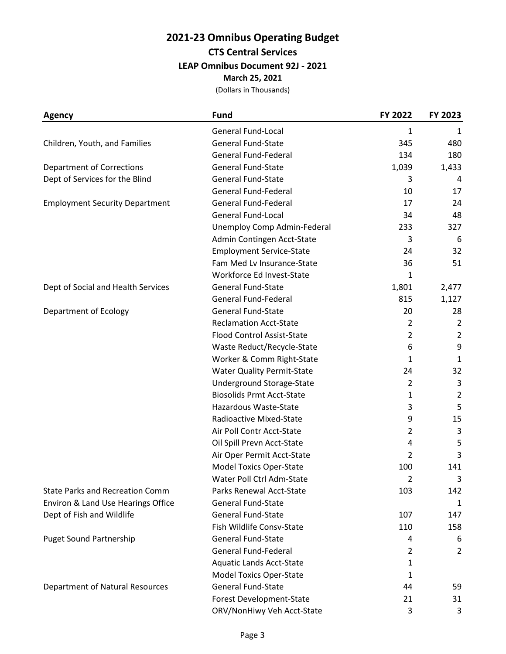## **2021-23 Omnibus Operating Budget CTS Central Services**

**LEAP Omnibus Document 92J - 2021**

**March 25, 2021**

| Agency                                 | <b>Fund</b>                       | FY 2022        | FY 2023        |
|----------------------------------------|-----------------------------------|----------------|----------------|
|                                        | <b>General Fund-Local</b>         | 1              | 1              |
| Children, Youth, and Families          | <b>General Fund-State</b>         | 345            | 480            |
|                                        | <b>General Fund-Federal</b>       | 134            | 180            |
| <b>Department of Corrections</b>       | <b>General Fund-State</b>         | 1,039          | 1,433          |
| Dept of Services for the Blind         | <b>General Fund-State</b>         | 3              | 4              |
|                                        | <b>General Fund-Federal</b>       | 10             | 17             |
| <b>Employment Security Department</b>  | <b>General Fund-Federal</b>       | 17             | 24             |
|                                        | <b>General Fund-Local</b>         | 34             | 48             |
|                                        | Unemploy Comp Admin-Federal       | 233            | 327            |
|                                        | Admin Contingen Acct-State        | 3              | 6              |
|                                        | <b>Employment Service-State</b>   | 24             | 32             |
|                                        | Fam Med Lv Insurance-State        | 36             | 51             |
|                                        | Workforce Ed Invest-State         | 1              |                |
| Dept of Social and Health Services     | <b>General Fund-State</b>         | 1,801          | 2,477          |
|                                        | <b>General Fund-Federal</b>       | 815            | 1,127          |
| Department of Ecology                  | <b>General Fund-State</b>         | 20             | 28             |
|                                        | <b>Reclamation Acct-State</b>     | $\overline{2}$ | 2              |
|                                        | <b>Flood Control Assist-State</b> | $\overline{2}$ | $\overline{2}$ |
|                                        | Waste Reduct/Recycle-State        | 6              | 9              |
|                                        | Worker & Comm Right-State         | 1              | 1              |
|                                        | <b>Water Quality Permit-State</b> | 24             | 32             |
|                                        | Underground Storage-State         | $\overline{2}$ | 3              |
|                                        | <b>Biosolids Prmt Acct-State</b>  | 1              | $\overline{2}$ |
|                                        | Hazardous Waste-State             | 3              | 5              |
|                                        | Radioactive Mixed-State           | 9              | 15             |
|                                        | Air Poll Contr Acct-State         | $\overline{2}$ | 3              |
|                                        | Oil Spill Prevn Acct-State        | 4              | 5              |
|                                        | Air Oper Permit Acct-State        | 2              | 3              |
|                                        | <b>Model Toxics Oper-State</b>    | 100            | 141            |
|                                        | Water Poll Ctrl Adm-State         | 2              | 3              |
| <b>State Parks and Recreation Comm</b> | Parks Renewal Acct-State          | 103            | 142            |
| Environ & Land Use Hearings Office     | <b>General Fund-State</b>         |                | 1              |
| Dept of Fish and Wildlife              | <b>General Fund-State</b>         | 107            | 147            |
|                                        | Fish Wildlife Consv-State         | 110            | 158            |
| <b>Puget Sound Partnership</b>         | <b>General Fund-State</b>         | 4              | 6              |
|                                        | <b>General Fund-Federal</b>       | 2              | 2              |
|                                        | <b>Aquatic Lands Acct-State</b>   | 1              |                |
|                                        | <b>Model Toxics Oper-State</b>    | 1              |                |
| <b>Department of Natural Resources</b> | <b>General Fund-State</b>         | 44             | 59             |
|                                        | Forest Development-State          | 21             | 31             |
|                                        | ORV/NonHiwy Veh Acct-State        | 3              | 3              |